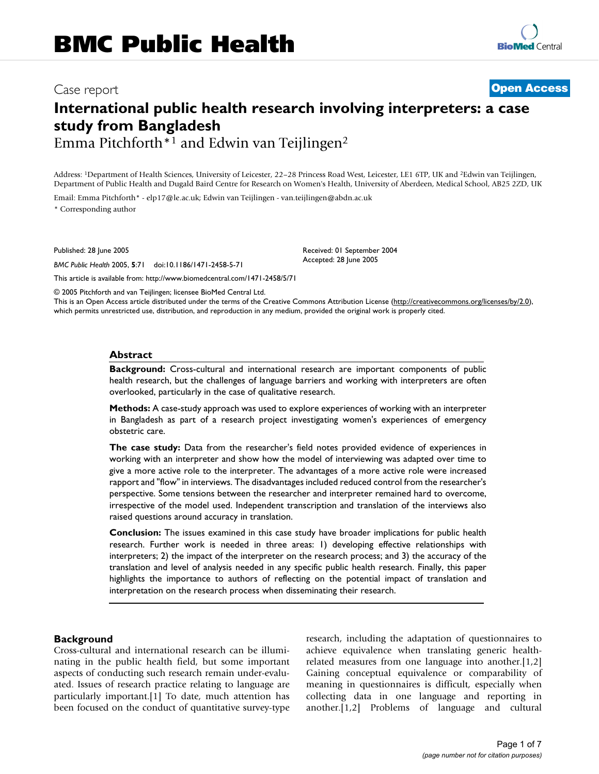# Case report **[Open Access](http://www.biomedcentral.com/info/about/charter/)**

# **International public health research involving interpreters: a case study from Bangladesh**

Emma Pitchforth\*1 and Edwin van Teijlingen2

Address: 1Department of Health Sciences, University of Leicester, 22–28 Princess Road West, Leicester, LE1 6TP, UK and 2Edwin van Teijlingen, Department of Public Health and Dugald Baird Centre for Research on Women's Health, University of Aberdeen, Medical School, AB25 2ZD, UK

> Received: 01 September 2004 Accepted: 28 June 2005

Email: Emma Pitchforth\* - elp17@le.ac.uk; Edwin van Teijlingen - van.teijlingen@abdn.ac.uk \* Corresponding author

Published: 28 June 2005

*BMC Public Health* 2005, **5**:71 doi:10.1186/1471-2458-5-71

[This article is available from: http://www.biomedcentral.com/1471-2458/5/71](http://www.biomedcentral.com/1471-2458/5/71)

© 2005 Pitchforth and van Teijlingen; licensee BioMed Central Ltd.

This is an Open Access article distributed under the terms of the Creative Commons Attribution License [\(http://creativecommons.org/licenses/by/2.0\)](http://creativecommons.org/licenses/by/2.0), which permits unrestricted use, distribution, and reproduction in any medium, provided the original work is properly cited.

#### **Abstract**

**Background:** Cross-cultural and international research are important components of public health research, but the challenges of language barriers and working with interpreters are often overlooked, particularly in the case of qualitative research.

**Methods:** A case-study approach was used to explore experiences of working with an interpreter in Bangladesh as part of a research project investigating women's experiences of emergency obstetric care.

**The case study:** Data from the researcher's field notes provided evidence of experiences in working with an interpreter and show how the model of interviewing was adapted over time to give a more active role to the interpreter. The advantages of a more active role were increased rapport and "flow" in interviews. The disadvantages included reduced control from the researcher's perspective. Some tensions between the researcher and interpreter remained hard to overcome, irrespective of the model used. Independent transcription and translation of the interviews also raised questions around accuracy in translation.

**Conclusion:** The issues examined in this case study have broader implications for public health research. Further work is needed in three areas: 1) developing effective relationships with interpreters; 2) the impact of the interpreter on the research process; and 3) the accuracy of the translation and level of analysis needed in any specific public health research. Finally, this paper highlights the importance to authors of reflecting on the potential impact of translation and interpretation on the research process when disseminating their research.

#### **Background**

Cross-cultural and international research can be illuminating in the public health field, but some important aspects of conducting such research remain under-evaluated. Issues of research practice relating to language are particularly important.[1] To date, much attention has been focused on the conduct of quantitative survey-type research, including the adaptation of questionnaires to achieve equivalence when translating generic healthrelated measures from one language into another.[1,2] Gaining conceptual equivalence or comparability of meaning in questionnaires is difficult, especially when collecting data in one language and reporting in another.[1,2] Problems of language and cultural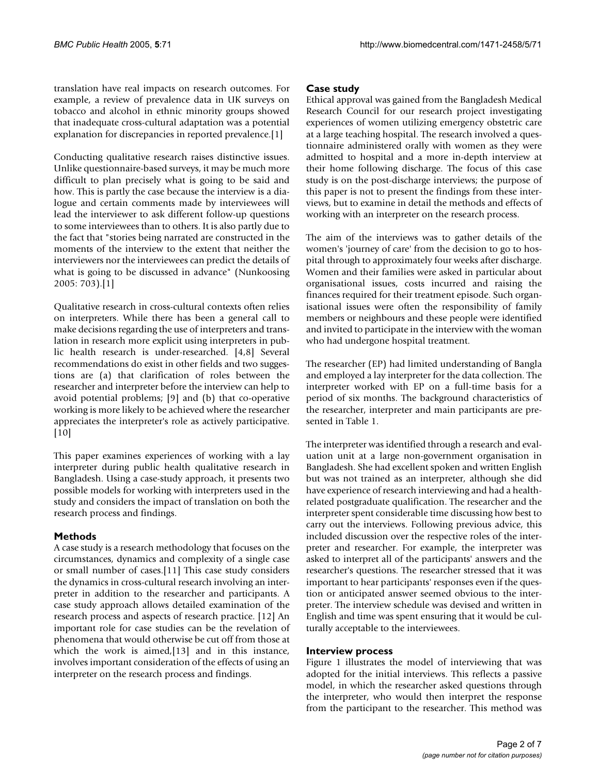translation have real impacts on research outcomes. For example, a review of prevalence data in UK surveys on tobacco and alcohol in ethnic minority groups showed that inadequate cross-cultural adaptation was a potential explanation for discrepancies in reported prevalence.[1]

Conducting qualitative research raises distinctive issues. Unlike questionnaire-based surveys, it may be much more difficult to plan precisely what is going to be said and how. This is partly the case because the interview is a dialogue and certain comments made by interviewees will lead the interviewer to ask different follow-up questions to some interviewees than to others. It is also partly due to the fact that "stories being narrated are constructed in the moments of the interview to the extent that neither the interviewers nor the interviewees can predict the details of what is going to be discussed in advance" (Nunkoosing 2005: 703).[1]

Qualitative research in cross-cultural contexts often relies on interpreters. While there has been a general call to make decisions regarding the use of interpreters and translation in research more explicit using interpreters in public health research is under-researched. [4,8] Several recommendations do exist in other fields and two suggestions are (a) that clarification of roles between the researcher and interpreter before the interview can help to avoid potential problems; [9] and (b) that co-operative working is more likely to be achieved where the researcher appreciates the interpreter's role as actively participative. [10]

This paper examines experiences of working with a lay interpreter during public health qualitative research in Bangladesh. Using a case-study approach, it presents two possible models for working with interpreters used in the study and considers the impact of translation on both the research process and findings.

# **Methods**

A case study is a research methodology that focuses on the circumstances, dynamics and complexity of a single case or small number of cases.[11] This case study considers the dynamics in cross-cultural research involving an interpreter in addition to the researcher and participants. A case study approach allows detailed examination of the research process and aspects of research practice. [12] An important role for case studies can be the revelation of phenomena that would otherwise be cut off from those at which the work is aimed,[13] and in this instance, involves important consideration of the effects of using an interpreter on the research process and findings.

## **Case study**

Ethical approval was gained from the Bangladesh Medical Research Council for our research project investigating experiences of women utilizing emergency obstetric care at a large teaching hospital. The research involved a questionnaire administered orally with women as they were admitted to hospital and a more in-depth interview at their home following discharge. The focus of this case study is on the post-discharge interviews; the purpose of this paper is not to present the findings from these interviews, but to examine in detail the methods and effects of working with an interpreter on the research process.

The aim of the interviews was to gather details of the women's 'journey of care' from the decision to go to hospital through to approximately four weeks after discharge. Women and their families were asked in particular about organisational issues, costs incurred and raising the finances required for their treatment episode. Such organisational issues were often the responsibility of family members or neighbours and these people were identified and invited to participate in the interview with the woman who had undergone hospital treatment.

The researcher (EP) had limited understanding of Bangla and employed a lay interpreter for the data collection. The interpreter worked with EP on a full-time basis for a period of six months. The background characteristics of the researcher, interpreter and main participants are presented in Table [1.](#page-3-0)

The interpreter was identified through a research and evaluation unit at a large non-government organisation in Bangladesh. She had excellent spoken and written English but was not trained as an interpreter, although she did have experience of research interviewing and had a healthrelated postgraduate qualification. The researcher and the interpreter spent considerable time discussing how best to carry out the interviews. Following previous advice, this included discussion over the respective roles of the interpreter and researcher. For example, the interpreter was asked to interpret all of the participants' answers and the researcher's questions. The researcher stressed that it was important to hear participants' responses even if the question or anticipated answer seemed obvious to the interpreter. The interview schedule was devised and written in English and time was spent ensuring that it would be culturally acceptable to the interviewees.

#### **Interview process**

Figure 1 illustrates the model of interviewing that was adopted for the initial interviews. This reflects a passive model, in which the researcher asked questions through the interpreter, who would then interpret the response from the participant to the researcher. This method was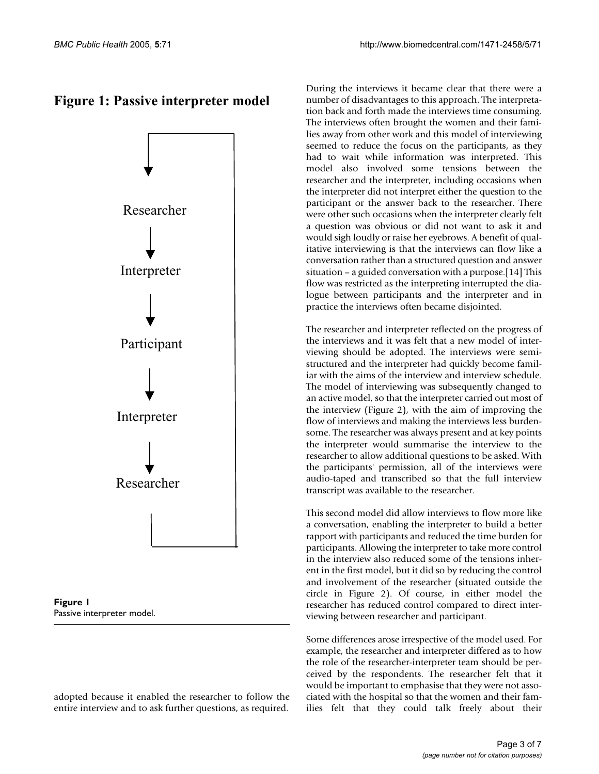# **Figure 1: Passive interpreter model**



**Figure 1** Passive interpreter model.

adopted because it enabled the researcher to follow the entire interview and to ask further questions, as required.

During the interviews it became clear that there were a number of disadvantages to this approach. The interpretation back and forth made the interviews time consuming. The interviews often brought the women and their families away from other work and this model of interviewing seemed to reduce the focus on the participants, as they had to wait while information was interpreted. This model also involved some tensions between the researcher and the interpreter, including occasions when the interpreter did not interpret either the question to the participant or the answer back to the researcher. There were other such occasions when the interpreter clearly felt a question was obvious or did not want to ask it and would sigh loudly or raise her eyebrows. A benefit of qualitative interviewing is that the interviews can flow like a conversation rather than a structured question and answer situation – a guided conversation with a purpose.[14] This flow was restricted as the interpreting interrupted the dialogue between participants and the interpreter and in practice the interviews often became disjointed.

The researcher and interpreter reflected on the progress of the interviews and it was felt that a new model of interviewing should be adopted. The interviews were semistructured and the interpreter had quickly become familiar with the aims of the interview and interview schedule. The model of interviewing was subsequently changed to an active model, so that the interpreter carried out most of the interview (Figure [2](#page-3-1)), with the aim of improving the flow of interviews and making the interviews less burdensome. The researcher was always present and at key points the interpreter would summarise the interview to the researcher to allow additional questions to be asked. With the participants' permission, all of the interviews were audio-taped and transcribed so that the full interview transcript was available to the researcher.

This second model did allow interviews to flow more like a conversation, enabling the interpreter to build a better rapport with participants and reduced the time burden for participants. Allowing the interpreter to take more control in the interview also reduced some of the tensions inherent in the first model, but it did so by reducing the control and involvement of the researcher (situated outside the circle in Figure [2\)](#page-3-1). Of course, in either model the researcher has reduced control compared to direct interviewing between researcher and participant.

Some differences arose irrespective of the model used. For example, the researcher and interpreter differed as to how the role of the researcher-interpreter team should be perceived by the respondents. The researcher felt that it would be important to emphasise that they were not associated with the hospital so that the women and their families felt that they could talk freely about their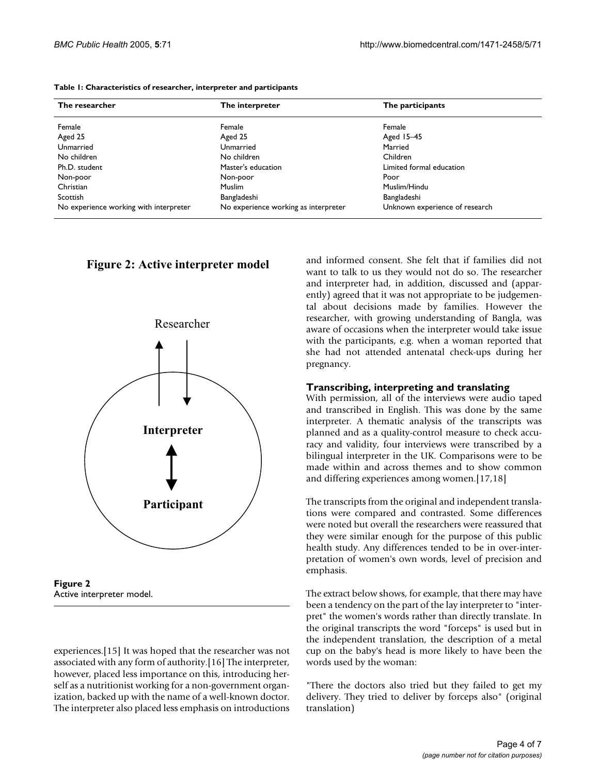| The researcher                         | The interpreter                      | The participants               |
|----------------------------------------|--------------------------------------|--------------------------------|
| Female                                 | Female                               | Female                         |
| Aged 25                                | Aged 25                              | Aged 15-45                     |
| Unmarried                              | Unmarried                            | Married                        |
| No children                            | No children                          | Children                       |
| Ph.D. student                          | Master's education                   | Limited formal education       |
| Non-poor                               | Non-poor                             | Poor                           |
| Christian                              | <b>Muslim</b>                        | Muslim/Hindu                   |
| Scottish                               | Bangladeshi                          | Bangladeshi                    |
| No experience working with interpreter | No experience working as interpreter | Unknown experience of research |

<span id="page-3-0"></span>

| Table 1: Characteristics of researcher, interpreter and participants |  |  |
|----------------------------------------------------------------------|--|--|
|----------------------------------------------------------------------|--|--|

# <span id="page-3-1"></span>**Figure 2: Active interpreter model**



**Figure 2** Active interpreter model.

experiences.[15] It was hoped that the researcher was not associated with any form of authority.[16] The interpreter, however, placed less importance on this, introducing herself as a nutritionist working for a non-government organization, backed up with the name of a well-known doctor. The interpreter also placed less emphasis on introductions and informed consent. She felt that if families did not want to talk to us they would not do so. The researcher and interpreter had, in addition, discussed and (apparently) agreed that it was not appropriate to be judgemental about decisions made by families. However the researcher, with growing understanding of Bangla, was aware of occasions when the interpreter would take issue with the participants, e.g. when a woman reported that she had not attended antenatal check-ups during her pregnancy.

#### **Transcribing, interpreting and translating**

With permission, all of the interviews were audio taped and transcribed in English. This was done by the same interpreter. A thematic analysis of the transcripts was planned and as a quality-control measure to check accuracy and validity, four interviews were transcribed by a bilingual interpreter in the UK. Comparisons were to be made within and across themes and to show common and differing experiences among women.[17,18]

The transcripts from the original and independent translations were compared and contrasted. Some differences were noted but overall the researchers were reassured that they were similar enough for the purpose of this public health study. Any differences tended to be in over-interpretation of women's own words, level of precision and emphasis.

The extract below shows, for example, that there may have been a tendency on the part of the lay interpreter to "interpret" the women's words rather than directly translate. In the original transcripts the word "forceps" is used but in the independent translation, the description of a metal cup on the baby's head is more likely to have been the words used by the woman:

"There the doctors also tried but they failed to get my delivery. They tried to deliver by forceps also" (original translation)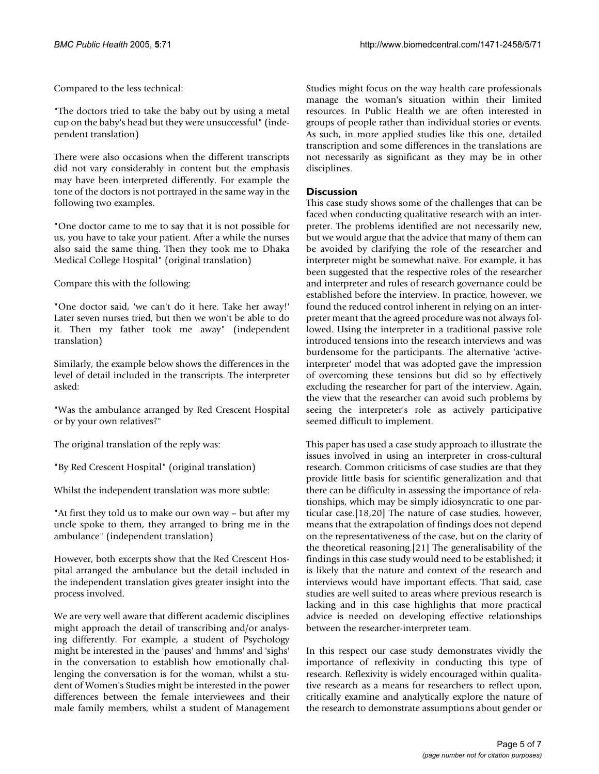Compared to the less technical:

"The doctors tried to take the baby out by using a metal cup on the baby's head but they were unsuccessful" (independent translation)

There were also occasions when the different transcripts did not vary considerably in content but the emphasis may have been interpreted differently. For example the tone of the doctors is not portrayed in the same way in the following two examples.

"One doctor came to me to say that it is not possible for us, you have to take your patient. After a while the nurses also said the same thing. Then they took me to Dhaka Medical College Hospital" (original translation)

Compare this with the following:

"One doctor said, 'we can't do it here. Take her away!' Later seven nurses tried, but then we won't be able to do it. Then my father took me away" (independent translation)

Similarly, the example below shows the differences in the level of detail included in the transcripts. The interpreter asked:

"Was the ambulance arranged by Red Crescent Hospital or by your own relatives?"

The original translation of the reply was:

"By Red Crescent Hospital" (original translation)

Whilst the independent translation was more subtle:

"At first they told us to make our own way – but after my uncle spoke to them, they arranged to bring me in the ambulance" (independent translation)

However, both excerpts show that the Red Crescent Hospital arranged the ambulance but the detail included in the independent translation gives greater insight into the process involved.

We are very well aware that different academic disciplines might approach the detail of transcribing and/or analysing differently. For example, a student of Psychology might be interested in the 'pauses' and 'hmms' and 'sighs' in the conversation to establish how emotionally challenging the conversation is for the woman, whilst a student of Women's Studies might be interested in the power differences between the female interviewees and their male family members, whilst a student of Management Studies might focus on the way health care professionals manage the woman's situation within their limited resources. In Public Health we are often interested in groups of people rather than individual stories or events. As such, in more applied studies like this one, detailed transcription and some differences in the translations are not necessarily as significant as they may be in other disciplines.

## **Discussion**

This case study shows some of the challenges that can be faced when conducting qualitative research with an interpreter. The problems identified are not necessarily new, but we would argue that the advice that many of them can be avoided by clarifying the role of the researcher and interpreter might be somewhat naïve. For example, it has been suggested that the respective roles of the researcher and interpreter and rules of research governance could be established before the interview. In practice, however, we found the reduced control inherent in relying on an interpreter meant that the agreed procedure was not always followed. Using the interpreter in a traditional passive role introduced tensions into the research interviews and was burdensome for the participants. The alternative 'activeinterpreter' model that was adopted gave the impression of overcoming these tensions but did so by effectively excluding the researcher for part of the interview. Again, the view that the researcher can avoid such problems by seeing the interpreter's role as actively participative seemed difficult to implement.

This paper has used a case study approach to illustrate the issues involved in using an interpreter in cross-cultural research. Common criticisms of case studies are that they provide little basis for scientific generalization and that there can be difficulty in assessing the importance of relationships, which may be simply idiosyncratic to one particular case.[18,20] The nature of case studies, however, means that the extrapolation of findings does not depend on the representativeness of the case, but on the clarity of the theoretical reasoning.[21] The generalisability of the findings in this case study would need to be established; it is likely that the nature and context of the research and interviews would have important effects. That said, case studies are well suited to areas where previous research is lacking and in this case highlights that more practical advice is needed on developing effective relationships between the researcher-interpreter team.

In this respect our case study demonstrates vividly the importance of reflexivity in conducting this type of research. Reflexivity is widely encouraged within qualitative research as a means for researchers to reflect upon, critically examine and analytically explore the nature of the research to demonstrate assumptions about gender or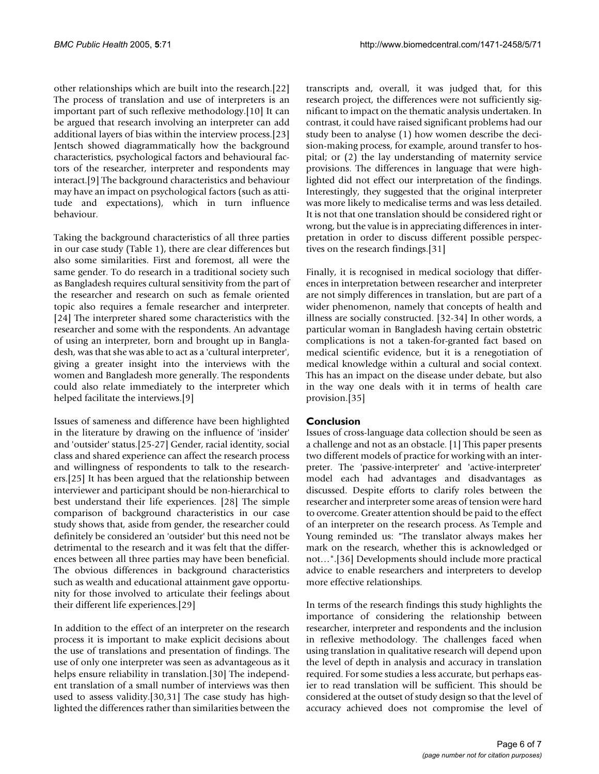other relationships which are built into the research.[22] The process of translation and use of interpreters is an important part of such reflexive methodology.[10] It can be argued that research involving an interpreter can add additional layers of bias within the interview process.[23] Jentsch showed diagrammatically how the background characteristics, psychological factors and behavioural factors of the researcher, interpreter and respondents may interact.[9] The background characteristics and behaviour may have an impact on psychological factors (such as attitude and expectations), which in turn influence behaviour.

Taking the background characteristics of all three parties in our case study (Table [1](#page-3-0)), there are clear differences but also some similarities. First and foremost, all were the same gender. To do research in a traditional society such as Bangladesh requires cultural sensitivity from the part of the researcher and research on such as female oriented topic also requires a female researcher and interpreter. [24] The interpreter shared some characteristics with the researcher and some with the respondents. An advantage of using an interpreter, born and brought up in Bangladesh, was that she was able to act as a 'cultural interpreter', giving a greater insight into the interviews with the women and Bangladesh more generally. The respondents could also relate immediately to the interpreter which helped facilitate the interviews.[9]

Issues of sameness and difference have been highlighted in the literature by drawing on the influence of 'insider' and 'outsider' status.[25-27] Gender, racial identity, social class and shared experience can affect the research process and willingness of respondents to talk to the researchers.[25] It has been argued that the relationship between interviewer and participant should be non-hierarchical to best understand their life experiences. [28] The simple comparison of background characteristics in our case study shows that, aside from gender, the researcher could definitely be considered an 'outsider' but this need not be detrimental to the research and it was felt that the differences between all three parties may have been beneficial. The obvious differences in background characteristics such as wealth and educational attainment gave opportunity for those involved to articulate their feelings about their different life experiences.[29]

In addition to the effect of an interpreter on the research process it is important to make explicit decisions about the use of translations and presentation of findings. The use of only one interpreter was seen as advantageous as it helps ensure reliability in translation.[30] The independent translation of a small number of interviews was then used to assess validity.[30,31] The case study has highlighted the differences rather than similarities between the

transcripts and, overall, it was judged that, for this research project, the differences were not sufficiently significant to impact on the thematic analysis undertaken. In contrast, it could have raised significant problems had our study been to analyse (1) how women describe the decision-making process, for example, around transfer to hospital; or (2) the lay understanding of maternity service provisions. The differences in language that were highlighted did not effect our interpretation of the findings. Interestingly, they suggested that the original interpreter was more likely to medicalise terms and was less detailed. It is not that one translation should be considered right or wrong, but the value is in appreciating differences in interpretation in order to discuss different possible perspectives on the research findings.[31]

Finally, it is recognised in medical sociology that differences in interpretation between researcher and interpreter are not simply differences in translation, but are part of a wider phenomenon, namely that concepts of health and illness are socially constructed. [32-34] In other words, a particular woman in Bangladesh having certain obstetric complications is not a taken-for-granted fact based on medical scientific evidence, but it is a renegotiation of medical knowledge within a cultural and social context. This has an impact on the disease under debate, but also in the way one deals with it in terms of health care provision.[35]

# **Conclusion**

Issues of cross-language data collection should be seen as a challenge and not as an obstacle. [1] This paper presents two different models of practice for working with an interpreter. The 'passive-interpreter' and 'active-interpreter' model each had advantages and disadvantages as discussed. Despite efforts to clarify roles between the researcher and interpreter some areas of tension were hard to overcome. Greater attention should be paid to the effect of an interpreter on the research process. As Temple and Young reminded us: "The translator always makes her mark on the research, whether this is acknowledged or not…".[36] Developments should include more practical advice to enable researchers and interpreters to develop more effective relationships.

In terms of the research findings this study highlights the importance of considering the relationship between researcher, interpreter and respondents and the inclusion in reflexive methodology. The challenges faced when using translation in qualitative research will depend upon the level of depth in analysis and accuracy in translation required. For some studies a less accurate, but perhaps easier to read translation will be sufficient. This should be considered at the outset of study design so that the level of accuracy achieved does not compromise the level of